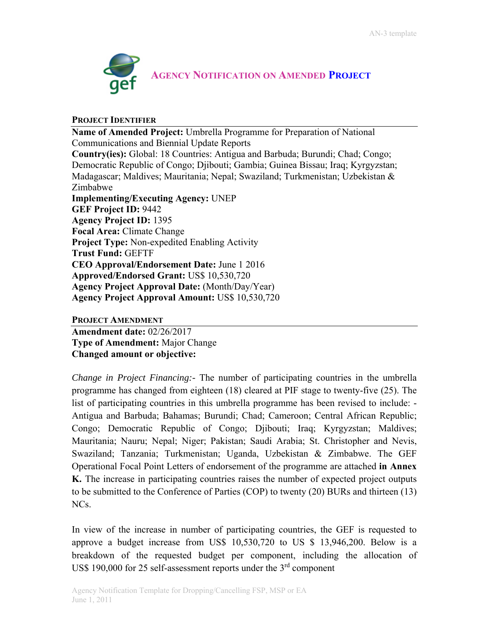

## **PROJECT IDENTIFIER**

**Name of Amended Project:** Umbrella Programme for Preparation of National Communications and Biennial Update Reports **Country(ies):** Global: 18 Countries: Antigua and Barbuda; Burundi; Chad; Congo; Democratic Republic of Congo; Djibouti; Gambia; Guinea Bissau; Iraq; Kyrgyzstan; Madagascar; Maldives; Mauritania; Nepal; Swaziland; Turkmenistan; Uzbekistan & Zimbabwe **Implementing/Executing Agency:** UNEP **GEF Project ID:** 9442 **Agency Project ID:** 1395 **Focal Area:** Climate Change **Project Type:** Non-expedited Enabling Activity **Trust Fund:** GEFTF **CEO Approval/Endorsement Date:** June 1 2016 **Approved/Endorsed Grant:** US\$ 10,530,720 **Agency Project Approval Date:** (Month/Day/Year) **Agency Project Approval Amount:** US\$ 10,530,720

## **PROJECT AMENDMENT**

**Amendment date:** 02/26/2017 **Type of Amendment:** Major Change **Changed amount or objective:**

*Change in Project Financing:-* The number of participating countries in the umbrella programme has changed from eighteen (18) cleared at PIF stage to twenty-five (25). The list of participating countries in this umbrella programme has been revised to include: - Antigua and Barbuda; Bahamas; Burundi; Chad; Cameroon; Central African Republic; Congo; Democratic Republic of Congo; Djibouti; Iraq; Kyrgyzstan; Maldives; Mauritania; Nauru; Nepal; Niger; Pakistan; Saudi Arabia; St. Christopher and Nevis, Swaziland; Tanzania; Turkmenistan; Uganda, Uzbekistan & Zimbabwe. The GEF Operational Focal Point Letters of endorsement of the programme are attached **in Annex K.** The increase in participating countries raises the number of expected project outputs to be submitted to the Conference of Parties (COP) to twenty (20) BURs and thirteen (13) NCs.

In view of the increase in number of participating countries, the GEF is requested to approve a budget increase from US\$  $10,530,720$  to US\$ 13,946,200. Below is a breakdown of the requested budget per component, including the allocation of US\$ 190,000 for 25 self-assessment reports under the  $3<sup>rd</sup>$  component